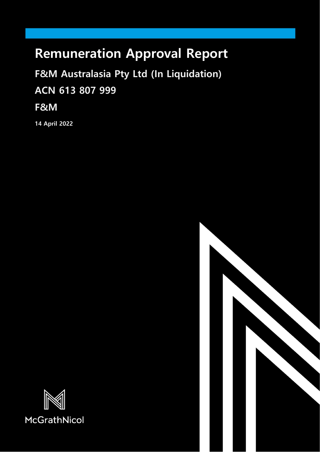# **Remuneration Approval Report**

**F&M Australasia Pty Ltd (In Liquidation) ACN 613 807 999**

**F&M**

**14 April 2022**



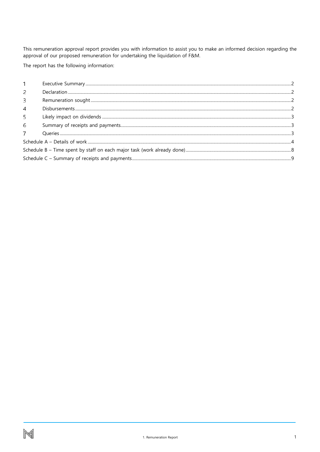This remuneration approval report provides you with information to assist you to make an informed decision regarding the approval of our proposed remuneration for undertaking the liquidation of F&M.

The report has the following information:

| 2 |  |  |  |  |  |
|---|--|--|--|--|--|
| 3 |  |  |  |  |  |
| 4 |  |  |  |  |  |
| 5 |  |  |  |  |  |
| 6 |  |  |  |  |  |
|   |  |  |  |  |  |
|   |  |  |  |  |  |
|   |  |  |  |  |  |
|   |  |  |  |  |  |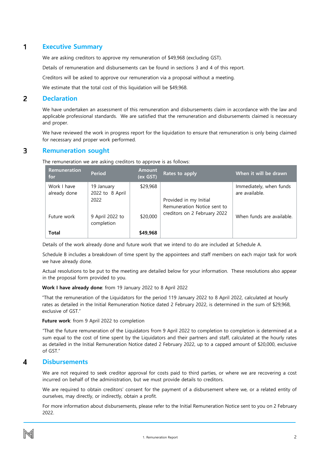#### <span id="page-2-0"></span> $\mathbf{1}$ **Executive Summary**

We are asking creditors to approve my remuneration of \$49,968 (excluding GST).

Details of remuneration and disbursements can be found in sections 3 and 4 of this report.

Creditors will be asked to approve our remuneration via a proposal without a meeting.

We estimate that the total cost of this liquidation will be \$49,968.

#### <span id="page-2-1"></span> $\overline{2}$ **Declaration**

We have undertaken an assessment of this remuneration and disbursements claim in accordance with the law and applicable professional standards. We are satisfied that the remuneration and disbursements claimed is necessary and proper.

We have reviewed the work in progress report for the liquidation to ensure that remuneration is only being claimed for necessary and proper work performed.

#### <span id="page-2-2"></span>3 **Remuneration sought**

The remuneration we are asking creditors to approve is as follows:

| <b>Remuneration</b><br>for  | <b>Period</b>                         | <b>Amount</b><br>(ex GST) | Rates to apply                                              | When it will be drawn                     |
|-----------------------------|---------------------------------------|---------------------------|-------------------------------------------------------------|-------------------------------------------|
| Work I have<br>already done | 19 January<br>2022 to 8 April<br>2022 | \$29,968                  | Provided in my Initial                                      | Immediately, when funds<br>are available. |
| Future work                 | 9 April 2022 to<br>completion         | \$20,000                  | Remuneration Notice sent to<br>creditors on 2 February 2022 | When funds are available.                 |
| <b>Total</b>                |                                       | \$49,968                  |                                                             |                                           |

Details of the work already done and future work that we intend to do are included at Schedule A.

Schedule B includes a breakdown of time spent by the appointees and staff members on each major task for work we have already done.

Actual resolutions to be put to the meeting are detailed below for your information. These resolutions also appear in the proposal form provided to you.

### **Work I have already done**: from 19 January 2022 to 8 April 2022

"That the remuneration of the Liquidators for the period 119 January 2022 to 8 April 2022, calculated at hourly rates as detailed in the Initial Remuneration Notice dated 2 February 2022, is determined in the sum of \$29,968, exclusive of GST."

### **Future work**: from 9 April 2022 to completion

"That the future remuneration of the Liquidators from 9 April 2022 to completion to completion is determined at a sum equal to the cost of time spent by the Liquidators and their partners and staff, calculated at the hourly rates as detailed in the Initial Remuneration Notice dated 2 February 2022, up to a capped amount of \$20,000, exclusive of GST."

#### <span id="page-2-3"></span>**Disbursements**  4

We are not required to seek creditor approval for costs paid to third parties, or where we are recovering a cost incurred on behalf of the administration, but we must provide details to creditors.

We are required to obtain creditors' consent for the payment of a disbursement where we, or a related entity of ourselves, may directly, or indirectly, obtain a profit.

For more information about disbursements, please refer to the Initial Remuneration Notice sent to you on 2 February 2022.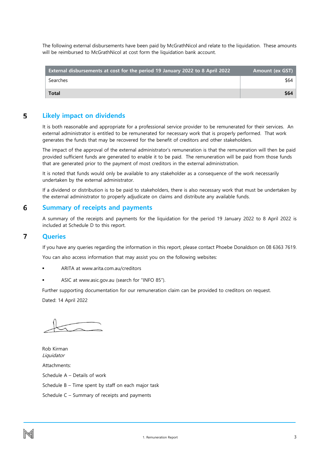The following external disbursements have been paid by McGrathNicol and relate to the liquidation. These amounts will be reimbursed to McGrathNicol at cost form the liquidation bank account.

| <b>External disbursements at cost for the period 19 January 2022 to 8 April 2022</b> | <b>Amount (ex GST)</b> |
|--------------------------------------------------------------------------------------|------------------------|
| Searches                                                                             | \$64                   |
| <b>Total</b>                                                                         | \$64                   |

#### <span id="page-3-0"></span>5 **Likely impact on dividends**

It is both reasonable and appropriate for a professional service provider to be remunerated for their services. An external administrator is entitled to be remunerated for necessary work that is properly performed. That work generates the funds that may be recovered for the benefit of creditors and other stakeholders.

The impact of the approval of the external administrator's remuneration is that the remuneration will then be paid provided sufficient funds are generated to enable it to be paid. The remuneration will be paid from those funds that are generated prior to the payment of most creditors in the external administration.

It is noted that funds would only be available to any stakeholder as a consequence of the work necessarily undertaken by the external administrator.

If a dividend or distribution is to be paid to stakeholders, there is also necessary work that must be undertaken by the external administrator to properly adjudicate on claims and distribute any available funds.

#### <span id="page-3-1"></span>6 **Summary of receipts and payments**

A summary of the receipts and payments for the liquidation for the period 19 January 2022 to 8 April 2022 is included at Schedule D to this report.

#### <span id="page-3-2"></span> $\overline{7}$ **Queries**

If you have any queries regarding the information in this report, please contact Phoebe Donaldson on 08 6363 7619.

You can also access information that may assist you on the following websites:

- ARITA at www.arita.com.au/creditors
- ASIC at www.asic.gov.au (search for "INFO 85").

Further supporting documentation for our remuneration claim can be provided to creditors on request. Dated: 14 April 2022

Rob Kirman Liquidator Attachments: Schedule A – Details of work Schedule B – Time spent by staff on each major task Schedule C – Summary of receipts and payments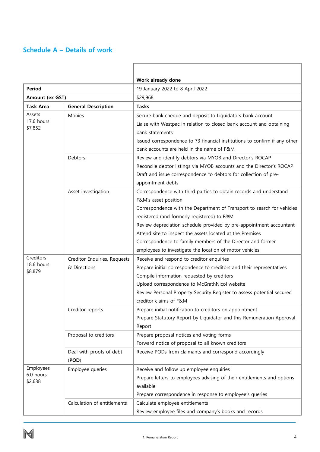### <span id="page-4-0"></span>**Schedule A – Details of work**

|                         |                              | Work already done                                                          |  |  |  |  |  |
|-------------------------|------------------------------|----------------------------------------------------------------------------|--|--|--|--|--|
| <b>Period</b>           |                              | 19 January 2022 to 8 April 2022                                            |  |  |  |  |  |
| Amount (ex GST)         |                              | \$29,968                                                                   |  |  |  |  |  |
| <b>Task Area</b>        | <b>General Description</b>   | <b>Tasks</b>                                                               |  |  |  |  |  |
| Assets<br>17.6 hours    | Monies                       | Secure bank cheque and deposit to Liquidators bank account                 |  |  |  |  |  |
| \$7,852                 |                              | Liaise with Westpac in relation to closed bank account and obtaining       |  |  |  |  |  |
|                         |                              | bank statements                                                            |  |  |  |  |  |
|                         |                              | Issued correspondence to 73 financial institutions to confirm if any other |  |  |  |  |  |
|                         |                              | bank accounts are held in the name of F&M                                  |  |  |  |  |  |
|                         | Debtors                      | Review and identify debtors via MYOB and Director's ROCAP                  |  |  |  |  |  |
|                         |                              | Reconcile debtor listings via MYOB accounts and the Director's ROCAP       |  |  |  |  |  |
|                         |                              | Draft and issue correspondence to debtors for collection of pre-           |  |  |  |  |  |
|                         |                              | appointment debts                                                          |  |  |  |  |  |
|                         | Asset investigation          | Correspondence with third parties to obtain records and understand         |  |  |  |  |  |
|                         |                              | F&M's asset position                                                       |  |  |  |  |  |
|                         |                              | Correspondence with the Department of Transport to search for vehicles     |  |  |  |  |  |
|                         |                              | registered (and formerly registered) to F&M                                |  |  |  |  |  |
|                         |                              | Review depreciation schedule provided by pre-appointment accountant        |  |  |  |  |  |
|                         |                              | Attend site to inspect the assets located at the Premises                  |  |  |  |  |  |
|                         |                              | Correspondence to family members of the Director and former                |  |  |  |  |  |
|                         |                              | employees to investigate the location of motor vehicles                    |  |  |  |  |  |
| Creditors<br>18.6 hours | Creditor Enquiries, Requests | Receive and respond to creditor enquiries                                  |  |  |  |  |  |
| \$8,879                 | & Directions                 | Prepare initial correspondence to creditors and their representatives      |  |  |  |  |  |
|                         |                              | Compile information requested by creditors                                 |  |  |  |  |  |
|                         |                              | Upload correspondence to McGrathNicol website                              |  |  |  |  |  |
|                         |                              | Review Personal Property Security Register to assess potential secured     |  |  |  |  |  |
|                         |                              | creditor claims of F&M                                                     |  |  |  |  |  |
|                         | Creditor reports             | Prepare initial notification to creditors on appointment                   |  |  |  |  |  |
|                         |                              | Prepare Statutory Report by Liquidator and this Remuneration Approval      |  |  |  |  |  |
|                         |                              | Report                                                                     |  |  |  |  |  |
|                         | Proposal to creditors        | Prepare proposal notices and voting forms                                  |  |  |  |  |  |
|                         |                              | Forward notice of proposal to all known creditors                          |  |  |  |  |  |
|                         | Deal with proofs of debt     | Receive PODs from claimants and correspond accordingly                     |  |  |  |  |  |
|                         | (POD)                        |                                                                            |  |  |  |  |  |
| Employees<br>6.0 hours  | Employee queries             | Receive and follow up employee enquiries                                   |  |  |  |  |  |
| \$2,638                 |                              | Prepare letters to employees advising of their entitlements and options    |  |  |  |  |  |
|                         |                              | available                                                                  |  |  |  |  |  |
|                         |                              | Prepare correspondence in response to employee's queries                   |  |  |  |  |  |
|                         | Calculation of entitlements  | Calculate employee entitlements                                            |  |  |  |  |  |
|                         |                              | Review employee files and company's books and records                      |  |  |  |  |  |

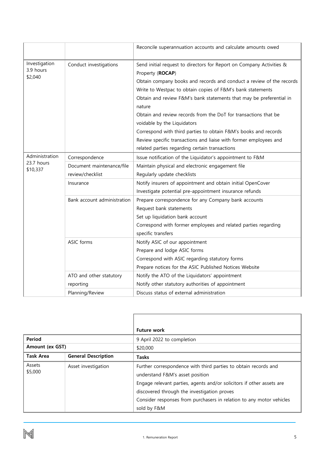|                                       |                             | Reconcile superannuation accounts and calculate amounts owed                                                                                                                                                                                                                                                                                                                                                                                                                                                                                              |  |  |  |  |
|---------------------------------------|-----------------------------|-----------------------------------------------------------------------------------------------------------------------------------------------------------------------------------------------------------------------------------------------------------------------------------------------------------------------------------------------------------------------------------------------------------------------------------------------------------------------------------------------------------------------------------------------------------|--|--|--|--|
| Investigation<br>3.9 hours<br>\$2,040 | Conduct investigations      | Send initial request to directors for Report on Company Activities &<br>Property (ROCAP)<br>Obtain company books and records and conduct a review of the records<br>Write to Westpac to obtain copies of F&M's bank statements<br>Obtain and review F&M's bank statements that may be preferential in<br>nature<br>Obtain and review records from the DoT for transactions that be<br>voidable by the Liquidators<br>Correspond with third parties to obtain F&M's books and records<br>Review specific transactions and liaise with former employees and |  |  |  |  |
|                                       |                             | related parties regarding certain transactions                                                                                                                                                                                                                                                                                                                                                                                                                                                                                                            |  |  |  |  |
| Administration<br>23.7 hours          | Correspondence              | Issue notification of the Liquidator's appointment to F&M                                                                                                                                                                                                                                                                                                                                                                                                                                                                                                 |  |  |  |  |
| \$10,337                              | Document maintenance/file   | Maintain physical and electronic engagement file                                                                                                                                                                                                                                                                                                                                                                                                                                                                                                          |  |  |  |  |
|                                       | review/checklist            | Regularly update checklists                                                                                                                                                                                                                                                                                                                                                                                                                                                                                                                               |  |  |  |  |
|                                       | Insurance                   | Notify insurers of appointment and obtain initial OpenCover                                                                                                                                                                                                                                                                                                                                                                                                                                                                                               |  |  |  |  |
|                                       |                             | Investigate potential pre-appointment insurance refunds                                                                                                                                                                                                                                                                                                                                                                                                                                                                                                   |  |  |  |  |
|                                       | Bank account administration | Prepare correspondence for any Company bank accounts                                                                                                                                                                                                                                                                                                                                                                                                                                                                                                      |  |  |  |  |
|                                       |                             | Request bank statements                                                                                                                                                                                                                                                                                                                                                                                                                                                                                                                                   |  |  |  |  |
|                                       |                             | Set up liquidation bank account                                                                                                                                                                                                                                                                                                                                                                                                                                                                                                                           |  |  |  |  |
|                                       |                             | Correspond with former employees and related parties regarding                                                                                                                                                                                                                                                                                                                                                                                                                                                                                            |  |  |  |  |
|                                       |                             | specific transfers                                                                                                                                                                                                                                                                                                                                                                                                                                                                                                                                        |  |  |  |  |
|                                       | ASIC forms                  | Notify ASIC of our appointment                                                                                                                                                                                                                                                                                                                                                                                                                                                                                                                            |  |  |  |  |
|                                       |                             | Prepare and lodge ASIC forms                                                                                                                                                                                                                                                                                                                                                                                                                                                                                                                              |  |  |  |  |
|                                       |                             | Correspond with ASIC regarding statutory forms                                                                                                                                                                                                                                                                                                                                                                                                                                                                                                            |  |  |  |  |
|                                       |                             | Prepare notices for the ASIC Published Notices Website                                                                                                                                                                                                                                                                                                                                                                                                                                                                                                    |  |  |  |  |
|                                       | ATO and other statutory     | Notify the ATO of the Liquidators' appointment                                                                                                                                                                                                                                                                                                                                                                                                                                                                                                            |  |  |  |  |
|                                       | reporting                   | Notify other statutory authorities of appointment                                                                                                                                                                                                                                                                                                                                                                                                                                                                                                         |  |  |  |  |
|                                       | Planning/Review             | Discuss status of external administration                                                                                                                                                                                                                                                                                                                                                                                                                                                                                                                 |  |  |  |  |

|                                          |                            | <b>Future work</b>                                                                                                                                                                                                                                                                                                |  |  |  |  |
|------------------------------------------|----------------------------|-------------------------------------------------------------------------------------------------------------------------------------------------------------------------------------------------------------------------------------------------------------------------------------------------------------------|--|--|--|--|
| Period                                   |                            | 9 April 2022 to completion                                                                                                                                                                                                                                                                                        |  |  |  |  |
| <b>Amount (ex GST)</b>                   |                            | \$20,000                                                                                                                                                                                                                                                                                                          |  |  |  |  |
| <b>Task Area</b>                         | <b>General Description</b> | <b>Tasks</b>                                                                                                                                                                                                                                                                                                      |  |  |  |  |
| Assets<br>Asset investigation<br>\$5,000 |                            | Further correspondence with third parties to obtain records and<br>understand F&M's asset position<br>Engage relevant parties, agents and/or solicitors if other assets are<br>discovered through the investigation proves<br>Consider responses from purchasers in relation to any motor vehicles<br>sold by F&M |  |  |  |  |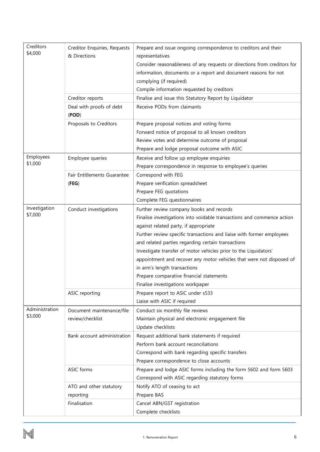| Creditors                   | Creditor Enquiries, Requests | Prepare and issue ongoing correspondence to creditors and their          |  |  |  |  |  |
|-----------------------------|------------------------------|--------------------------------------------------------------------------|--|--|--|--|--|
| \$4,000                     | & Directions                 | representatives                                                          |  |  |  |  |  |
|                             |                              | Consider reasonableness of any requests or directions from creditors for |  |  |  |  |  |
|                             |                              | information, documents or a report and document reasons for not          |  |  |  |  |  |
|                             |                              | complying (if required)                                                  |  |  |  |  |  |
|                             |                              | Compile information requested by creditors                               |  |  |  |  |  |
|                             | Creditor reports             | Finalise and issue this Statutory Report by Liquidator                   |  |  |  |  |  |
|                             | Deal with proofs of debt     | Receive PODs from claimants                                              |  |  |  |  |  |
|                             | (POD)                        |                                                                          |  |  |  |  |  |
|                             | Proposals to Creditors       | Prepare proposal notices and voting forms                                |  |  |  |  |  |
|                             |                              | Forward notice of proposal to all known creditors                        |  |  |  |  |  |
|                             |                              | Review votes and determine outcome of proposal                           |  |  |  |  |  |
|                             |                              | Prepare and lodge proposal outcome with ASIC                             |  |  |  |  |  |
| Employees<br>\$1,000        | Employee queries             | Receive and follow up employee enquiries                                 |  |  |  |  |  |
|                             |                              | Prepare correspondence in response to employee's queries                 |  |  |  |  |  |
|                             | Fair Entitlements Guarantee  | Correspond with FEG                                                      |  |  |  |  |  |
|                             | (FEG)                        | Prepare verification spreadsheet                                         |  |  |  |  |  |
|                             |                              | Prepare FEG quotations                                                   |  |  |  |  |  |
|                             |                              | Complete FEG questionnaires                                              |  |  |  |  |  |
| Investigation               | Conduct investigations       | Further review company books and records                                 |  |  |  |  |  |
| \$7,000                     |                              | Finalise investigations into voidable transactions and commence action   |  |  |  |  |  |
|                             |                              | against related party, if appropriate                                    |  |  |  |  |  |
|                             |                              | Further review specific transactions and liaise with former employees    |  |  |  |  |  |
|                             |                              | and related parties regarding certain transactions                       |  |  |  |  |  |
|                             |                              | Investigate transfer of motor vehicles prior to the Liquidators'         |  |  |  |  |  |
|                             |                              | appointment and recover any motor vehicles that were not disposed of     |  |  |  |  |  |
|                             |                              | in arm's length transactions                                             |  |  |  |  |  |
|                             |                              | Prepare comparative financial statements                                 |  |  |  |  |  |
|                             |                              | Finalise investigations workpaper                                        |  |  |  |  |  |
|                             | ASIC reporting               | Prepare report to ASIC under s533                                        |  |  |  |  |  |
|                             |                              | Liaise with ASIC if required                                             |  |  |  |  |  |
| Administration              | Document maintenance/file    | Conduct six monthly file reviews                                         |  |  |  |  |  |
| \$3,000<br>review/checklist |                              | Maintain physical and electronic engagement file                         |  |  |  |  |  |
|                             |                              | Update checklists                                                        |  |  |  |  |  |
|                             | Bank account administration  | Request additional bank statements if required                           |  |  |  |  |  |
|                             |                              | Perform bank account reconciliations                                     |  |  |  |  |  |
|                             |                              | Correspond with bank regarding specific transfers                        |  |  |  |  |  |
|                             |                              | Prepare correspondence to close accounts                                 |  |  |  |  |  |
|                             | ASIC forms                   | Prepare and lodge ASIC forms including the form 5602 and form 5603       |  |  |  |  |  |
|                             |                              | Correspond with ASIC regarding statutory forms                           |  |  |  |  |  |
|                             | ATO and other statutory      | Notify ATO of ceasing to act                                             |  |  |  |  |  |
|                             | reporting                    | Prepare BAS                                                              |  |  |  |  |  |
|                             | Finalisation                 | Cancel ABN/GST registration                                              |  |  |  |  |  |
|                             |                              | Complete checklists                                                      |  |  |  |  |  |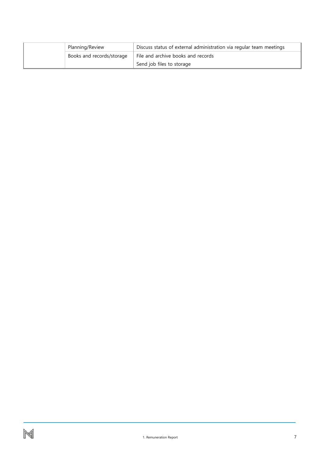| Planning/Review           | Discuss status of external administration via regular team meetings |
|---------------------------|---------------------------------------------------------------------|
| Books and records/storage | File and archive books and records                                  |
|                           | Send job files to storage                                           |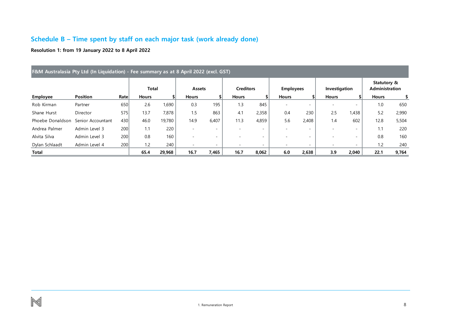## **Schedule B – Time spent by staff on each major task (work already done)**

**Resolution 1: from 19 January 2022 to 8 April 2022**

<span id="page-8-0"></span>

|                  | F&M Australasia Pty Ltd (In Liquidation) - Fee summary as at 8 April 2022 (excl. GST) |      |              |        |                          |                          |                          |                          |                          |                          |                          |                          |                               |       |
|------------------|---------------------------------------------------------------------------------------|------|--------------|--------|--------------------------|--------------------------|--------------------------|--------------------------|--------------------------|--------------------------|--------------------------|--------------------------|-------------------------------|-------|
|                  |                                                                                       |      | <b>Total</b> |        | Assets                   |                          | <b>Creditors</b>         |                          | <b>Employees</b>         |                          | Investigation            |                          | Statutory &<br>Administration |       |
| <b>Employee</b>  | <b>Position</b>                                                                       | Rate | <b>Hours</b> |        | <b>Hours</b>             |                          | <b>Hours</b>             | \$                       | <b>Hours</b>             |                          | <b>Hours</b>             |                          | <b>Hours</b>                  | \$    |
| Rob Kirman       | Partner                                                                               | 650  | 2.6          | 1,690  | 0.3                      | 195                      | 1.3                      | 845                      | $\overline{\phantom{a}}$ |                          | $\overline{\phantom{0}}$ | $\overline{\phantom{a}}$ | 1.0                           | 650   |
| Shane Hurst      | Director                                                                              | 575  | 13.7         | 7,878  | 1.5                      | 863                      | 4.1                      | 2,358                    | 0.4                      | 230                      | 2.5                      | 1,438                    | 5.2                           | 2,990 |
| Phoebe Donaldson | Senior Accountant                                                                     | 430  | 46.0         | 19,780 | 14.9                     | 6,407                    | 11.3                     | 4,859                    | 5.6                      | 2,408                    | 1.4                      | 602                      | 12.8                          | 5,504 |
| Andrea Palmer    | Admin Level 3                                                                         | 200  | 1.1          | 220    |                          | $\overline{\phantom{a}}$ |                          | -                        |                          |                          |                          | $\overline{\phantom{a}}$ | 1.1                           | 220   |
| Alvita Silva     | Admin Level 3                                                                         | 200  | 0.8          | 160    |                          | $\overline{\phantom{0}}$ |                          | $\overline{\phantom{0}}$ |                          |                          |                          | -                        | 0.8                           | 160   |
| Dylan Schlaadt   | Admin Level 4                                                                         | 200  | 1.2          | 240    | $\overline{\phantom{a}}$ | $\overline{\phantom{0}}$ | $\overline{\phantom{0}}$ | -                        | ۰                        | $\overline{\phantom{a}}$ |                          | $\sim$                   | 1.2                           | 240   |
| Total            |                                                                                       |      | 65.4         | 29,968 | 16.7                     | 7,465                    | 16.7                     | 8,062                    | 6.0                      | 2,638                    | 3.9                      | 2,040                    | 22.1                          | 9,764 |